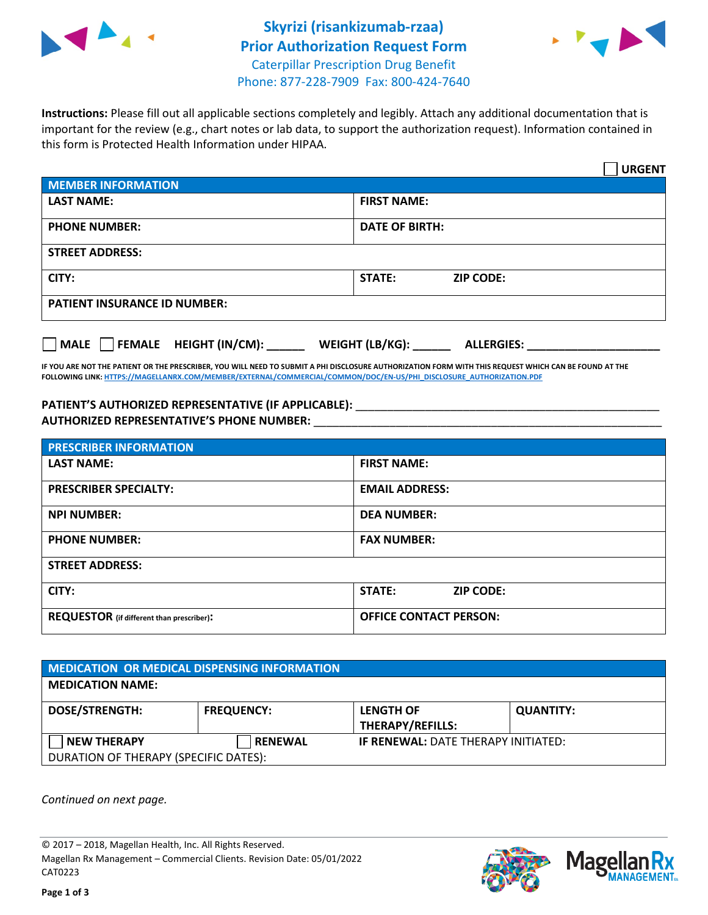



**Instructions:** Please fill out all applicable sections completely and legibly. Attach any additional documentation that is important for the review (e.g., chart notes or lab data, to support the authorization request). Information contained in this form is Protected Health Information under HIPAA.

|                                           | <b>URGENT</b>                        |  |
|-------------------------------------------|--------------------------------------|--|
| <b>MEMBER INFORMATION</b>                 |                                      |  |
| <b>LAST NAME:</b>                         | <b>FIRST NAME:</b>                   |  |
| <b>PHONE NUMBER:</b>                      | <b>DATE OF BIRTH:</b>                |  |
| <b>STREET ADDRESS:</b>                    |                                      |  |
| CITY:                                     | <b>STATE:</b><br><b>ZIP CODE:</b>    |  |
| <b>PATIENT INSURANCE ID NUMBER:</b>       |                                      |  |
| $\Box$ MALE $\Box$ FEMALE HEIGHT (IN/CM): | WEIGHT (LB/KG):<br><b>ALLERGIES:</b> |  |

**IF YOU ARE NOT THE PATIENT OR THE PRESCRIBER, YOU WILL NEED TO SUBMIT A PHI DISCLOSURE AUTHORIZATION FORM WITH THIS REQUEST WHICH CAN BE FOUND AT THE FOLLOWING LINK[: HTTPS://MAGELLANRX.COM/MEMBER/EXTERNAL/COMMERCIAL/COMMON/DOC/EN-US/PHI\\_DISCLOSURE\\_AUTHORIZATION.PDF](https://magellanrx.com/member/external/commercial/common/doc/en-us/PHI_Disclosure_Authorization.pdf)**

PATIENT'S AUTHORIZED REPRESENTATIVE (IF APPLICABLE): \_\_\_\_\_\_\_\_\_\_\_\_\_\_\_\_\_\_\_\_\_\_\_\_\_\_\_ **AUTHORIZED REPRESENTATIVE'S PHONE NUMBER:** \_\_\_\_\_\_\_\_\_\_\_\_\_\_\_\_\_\_\_\_\_\_\_\_\_\_\_\_\_\_\_\_\_\_\_\_\_\_\_\_\_\_\_\_\_\_\_\_\_\_\_\_\_\_\_

| <b>PRESCRIBER INFORMATION</b>             |                               |  |  |
|-------------------------------------------|-------------------------------|--|--|
| <b>LAST NAME:</b>                         | <b>FIRST NAME:</b>            |  |  |
| <b>PRESCRIBER SPECIALTY:</b>              | <b>EMAIL ADDRESS:</b>         |  |  |
| <b>NPI NUMBER:</b>                        | <b>DEA NUMBER:</b>            |  |  |
| <b>PHONE NUMBER:</b>                      | <b>FAX NUMBER:</b>            |  |  |
| <b>STREET ADDRESS:</b>                    |                               |  |  |
| CITY:                                     | STATE:<br><b>ZIP CODE:</b>    |  |  |
| REQUESTOR (if different than prescriber): | <b>OFFICE CONTACT PERSON:</b> |  |  |

| <b>MEDICATION OR MEDICAL DISPENSING INFORMATION</b> |                   |                                            |                  |  |
|-----------------------------------------------------|-------------------|--------------------------------------------|------------------|--|
| <b>MEDICATION NAME:</b>                             |                   |                                            |                  |  |
| <b>DOSE/STRENGTH:</b>                               | <b>FREQUENCY:</b> | <b>LENGTH OF</b>                           | <b>QUANTITY:</b> |  |
|                                                     |                   | THERAPY/REFILLS:                           |                  |  |
| <b>NEW THERAPY</b>                                  | <b>RENEWAL</b>    | <b>IF RENEWAL: DATE THERAPY INITIATED:</b> |                  |  |
| DURATION OF THERAPY (SPECIFIC DATES):               |                   |                                            |                  |  |

*Continued on next page.*

© 2017 – 2018, Magellan Health, Inc. All Rights Reserved. Magellan Rx Management – Commercial Clients. Revision Date: 05/01/2022 CAT0223



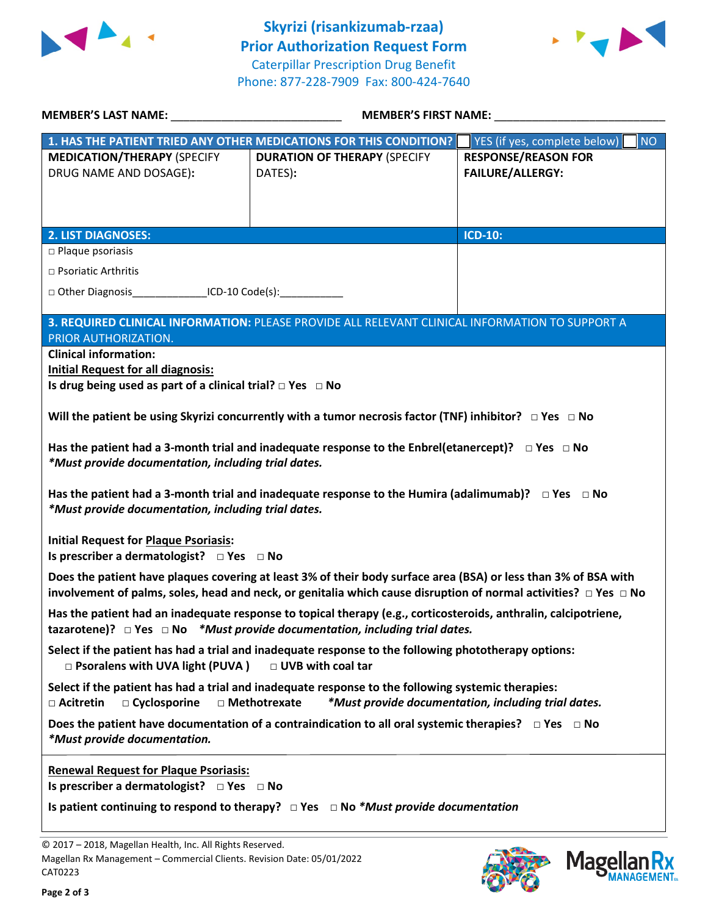



|                                                                                                                                                                                                                                               | MEMBER'S FIRST NAME: NAME:                                                                      |                                           |  |  |
|-----------------------------------------------------------------------------------------------------------------------------------------------------------------------------------------------------------------------------------------------|-------------------------------------------------------------------------------------------------|-------------------------------------------|--|--|
|                                                                                                                                                                                                                                               | 1. HAS THE PATIENT TRIED ANY OTHER MEDICATIONS FOR THIS CONDITION?                              | YES (if yes, complete below)<br><b>NO</b> |  |  |
| <b>MEDICATION/THERAPY (SPECIFY</b>                                                                                                                                                                                                            | <b>DURATION OF THERAPY (SPECIFY</b>                                                             | <b>RESPONSE/REASON FOR</b>                |  |  |
| DRUG NAME AND DOSAGE):                                                                                                                                                                                                                        | DATES):                                                                                         | <b>FAILURE/ALLERGY:</b>                   |  |  |
|                                                                                                                                                                                                                                               |                                                                                                 |                                           |  |  |
|                                                                                                                                                                                                                                               |                                                                                                 |                                           |  |  |
| <b>2. LIST DIAGNOSES:</b>                                                                                                                                                                                                                     |                                                                                                 | ICD-10:                                   |  |  |
| $\square$ Plaque psoriasis                                                                                                                                                                                                                    |                                                                                                 |                                           |  |  |
| $\Box$ Psoriatic Arthritis                                                                                                                                                                                                                    |                                                                                                 |                                           |  |  |
| □ Other Diagnosis ________________ICD-10 Code(s): _____________________________                                                                                                                                                               |                                                                                                 |                                           |  |  |
|                                                                                                                                                                                                                                               | 3. REQUIRED CLINICAL INFORMATION: PLEASE PROVIDE ALL RELEVANT CLINICAL INFORMATION TO SUPPORT A |                                           |  |  |
| PRIOR AUTHORIZATION.                                                                                                                                                                                                                          |                                                                                                 |                                           |  |  |
| <b>Clinical information:</b>                                                                                                                                                                                                                  |                                                                                                 |                                           |  |  |
| <b>Initial Request for all diagnosis:</b>                                                                                                                                                                                                     |                                                                                                 |                                           |  |  |
| Is drug being used as part of a clinical trial? $\Box$ Yes $\Box$ No                                                                                                                                                                          |                                                                                                 |                                           |  |  |
| Will the patient be using Skyrizi concurrently with a tumor necrosis factor (TNF) inhibitor? $\Box$ Yes $\Box$ No                                                                                                                             |                                                                                                 |                                           |  |  |
| Has the patient had a 3-month trial and inadequate response to the Enbrel(etanercept)? $\Box$ Yes $\Box$ No<br>*Must provide documentation, including trial dates.                                                                            |                                                                                                 |                                           |  |  |
| Has the patient had a 3-month trial and inadequate response to the Humira (adalimumab)? $\Box$ Yes $\Box$ No<br>*Must provide documentation, including trial dates.                                                                           |                                                                                                 |                                           |  |  |
| <b>Initial Request for Plaque Psoriasis:</b>                                                                                                                                                                                                  |                                                                                                 |                                           |  |  |
| Does the patient have plaques covering at least 3% of their body surface area (BSA) or less than 3% of BSA with<br>involvement of palms, soles, head and neck, or genitalia which cause disruption of normal activities? $\Box$ Yes $\Box$ No |                                                                                                 |                                           |  |  |
| Has the patient had an inadequate response to topical therapy (e.g., corticosteroids, anthralin, calcipotriene,<br>tazarotene)? $\Box$ Yes $\Box$ No *Must provide documentation, including trial dates.                                      |                                                                                                 |                                           |  |  |
| Select if the patient has had a trial and inadequate response to the following phototherapy options:<br>□ UVB with coal tar<br>□ Psoralens with UVA light (PUVA)                                                                              |                                                                                                 |                                           |  |  |
| Select if the patient has had a trial and inadequate response to the following systemic therapies:<br>□ Methotrexate<br>*Must provide documentation, including trial dates.<br>□ Acitretin<br>$\Box$ Cyclosporine                             |                                                                                                 |                                           |  |  |
| Does the patient have documentation of a contraindication to all oral systemic therapies? $\Box$ Yes $\Box$ No<br>*Must provide documentation.                                                                                                |                                                                                                 |                                           |  |  |
| <b>Renewal Request for Plaque Psoriasis:</b>                                                                                                                                                                                                  |                                                                                                 |                                           |  |  |
|                                                                                                                                                                                                                                               | Is patient continuing to respond to therapy? $\Box$ Yes $\Box$ No *Must provide documentation   |                                           |  |  |